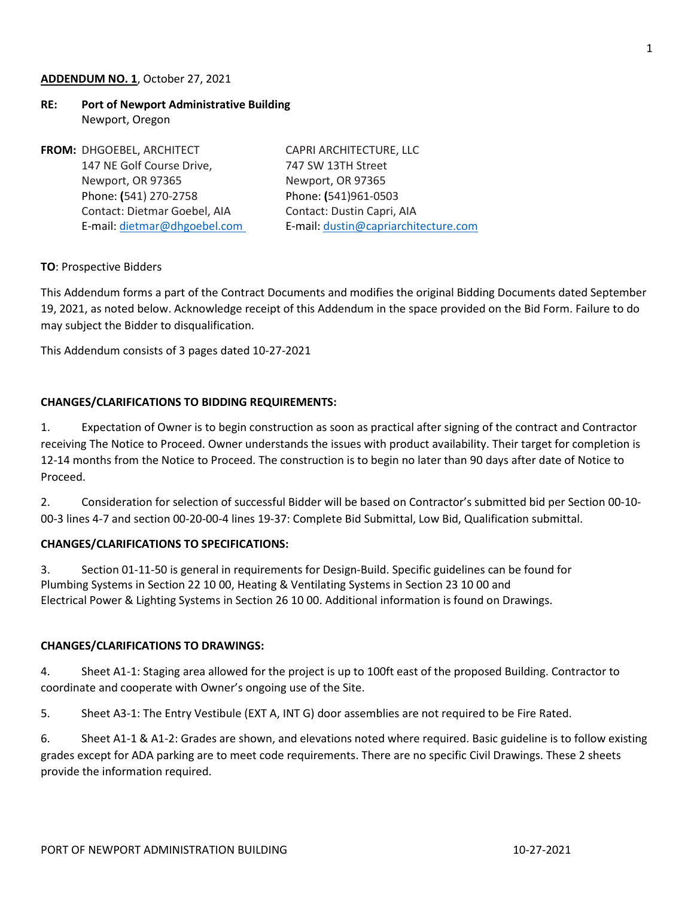### **ADDENDUM NO. 1**, October 27, 2021

# **RE: Port of Newport Administrative Building** Newport, Oregon

| FROM: DHGOEBEL, ARCHITECT    | CAPRI ARCHITECTURE, LLC              |
|------------------------------|--------------------------------------|
| 147 NE Golf Course Drive,    | 747 SW 13TH Street                   |
| Newport, OR 97365            | Newport, OR 97365                    |
| Phone: (541) 270-2758        | Phone: (541)961-0503                 |
| Contact: Dietmar Goebel, AIA | Contact: Dustin Capri, AIA           |
| E-mail: dietmar@dhgoebel.com | E-mail: dustin@capriarchitecture.com |
|                              |                                      |

### **TO**: Prospective Bidders

This Addendum forms a part of the Contract Documents and modifies the original Bidding Documents dated September 19, 2021, as noted below. Acknowledge receipt of this Addendum in the space provided on the Bid Form. Failure to do may subject the Bidder to disqualification.

This Addendum consists of 3 pages dated 10-27-2021

## **CHANGES/CLARIFICATIONS TO BIDDING REQUIREMENTS:**

1. Expectation of Owner is to begin construction as soon as practical after signing of the contract and Contractor receiving The Notice to Proceed. Owner understands the issues with product availability. Their target for completion is 12-14 months from the Notice to Proceed. The construction is to begin no later than 90 days after date of Notice to Proceed.

2. Consideration for selection of successful Bidder will be based on Contractor's submitted bid per Section 00-10- 00-3 lines 4-7 and section 00-20-00-4 lines 19-37: Complete Bid Submittal, Low Bid, Qualification submittal.

### **CHANGES/CLARIFICATIONS TO SPECIFICATIONS:**

3. Section 01-11-50 is general in requirements for Design-Build. Specific guidelines can be found for Plumbing Systems in Section 22 10 00, Heating & Ventilating Systems in Section 23 10 00 and Electrical Power & Lighting Systems in Section 26 10 00. Additional information is found on Drawings.

### **CHANGES/CLARIFICATIONS TO DRAWINGS:**

4. Sheet A1-1: Staging area allowed for the project is up to 100ft east of the proposed Building. Contractor to coordinate and cooperate with Owner's ongoing use of the Site.

5. Sheet A3-1: The Entry Vestibule (EXT A, INT G) door assemblies are not required to be Fire Rated.

6. Sheet A1-1 & A1-2: Grades are shown, and elevations noted where required. Basic guideline is to follow existing grades except for ADA parking are to meet code requirements. There are no specific Civil Drawings. These 2 sheets provide the information required.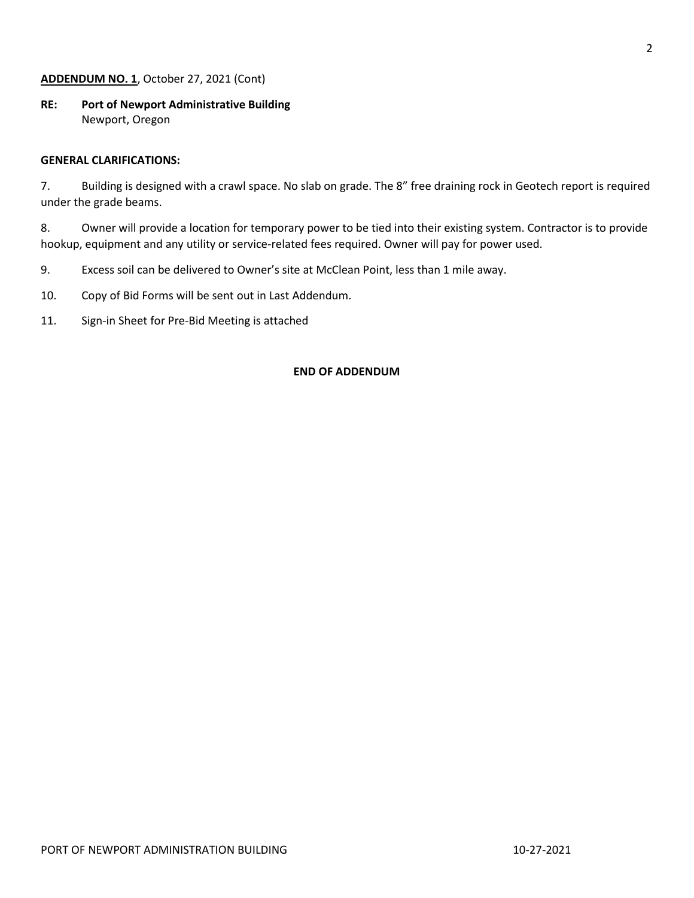## **ADDENDUM NO. 1**, October 27, 2021 (Cont)

**RE: Port of Newport Administrative Building** Newport, Oregon

### **GENERAL CLARIFICATIONS:**

7. Building is designed with a crawl space. No slab on grade. The 8" free draining rock in Geotech report is required under the grade beams.

8. Owner will provide a location for temporary power to be tied into their existing system. Contractor is to provide hookup, equipment and any utility or service-related fees required. Owner will pay for power used.

- 9. Excess soil can be delivered to Owner's site at McClean Point, less than 1 mile away.
- 10. Copy of Bid Forms will be sent out in Last Addendum.
- 11. Sign-in Sheet for Pre-Bid Meeting is attached

#### **END OF ADDENDUM**